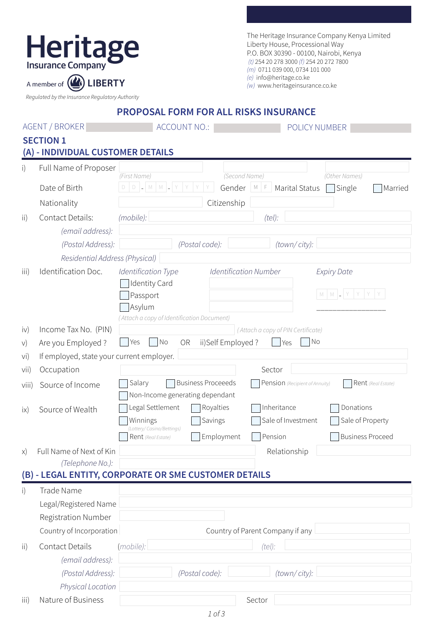| <b>Heritag</b><br><b>Insurance Company</b> |
|--------------------------------------------|
|                                            |
| A member of (A) LIBERTY                    |

The Heritage Insurance Company Kenya Limited Liberty House, Processional Way P.O. BOX 30390 - 00100, Nairobi, Kenya (t) 254 20 278 3000 (f) 254 20 272 7800 (m) 0711 039 000, 0734 101 000 (e) info@heritage.co.ke (w) www.heritageinsurance.co.ke

Regulated by the Insurance Regulatory Authority

**PROPOSAL FORM FOR ALL RISKS INSURANCE**

|              | <b>AGENT / BROKER</b>                                 | <b>ACCOUNT NO.:</b>                                           | POLICY NUMBER                                                |  |
|--------------|-------------------------------------------------------|---------------------------------------------------------------|--------------------------------------------------------------|--|
|              | <b>SECTION 1</b><br>(A) - INDIVIDUAL CUSTOMER DETAILS |                                                               |                                                              |  |
| i)           | Full Name of Proposer                                 | (First Name)                                                  | (Second Name)<br>(Other Names)                               |  |
|              | Date of Birth                                         | $D$ $D$ $ M$ $M$ $L$                                          | Gender $\vert M \vert_F$ Marital Status<br>Single<br>Married |  |
|              | Nationality                                           | Citizenship                                                   |                                                              |  |
| ii)          | <b>Contact Details:</b>                               | (mobile):                                                     | $(te$ ):                                                     |  |
|              | (email address):                                      |                                                               |                                                              |  |
|              | (Postal Address):                                     | (Postal code):                                                | (town/city):                                                 |  |
|              | Residential Address (Physical)                        |                                                               |                                                              |  |
| iii)         | Identification Doc.                                   | Identification Type                                           | <b>Identification Number</b><br><b>Expiry Date</b>           |  |
|              |                                                       | <b>Identity Card</b><br>Passport                              | $M$ $M$ $=$ $Y$                                              |  |
|              |                                                       | Asylum                                                        |                                                              |  |
|              |                                                       | (Attach a copy of Identification Document)                    |                                                              |  |
| iv)          | Income Tax No. (PIN)                                  |                                                               | (Attach a copy of PIN Certificate)                           |  |
| V)           | Are you Employed?                                     | No<br>Yes<br>ii)Self Employed?<br>OR                          | No<br>Yes                                                    |  |
| vi)          | If employed, state your current employer.             |                                                               |                                                              |  |
| vii)         | Occupation                                            | <b>Business Proceeeds</b><br>Salary                           | Sector                                                       |  |
| Viii)        | Source of Income                                      | Non-Income generating dependant                               | Pension (Recipient of Annuity)<br>Rent (Real Estate)         |  |
| $i \times$   | Source of Wealth                                      | Legal Settlement<br>Royalties                                 | Inheritance<br>Donations                                     |  |
|              |                                                       | Savings<br>Winnings                                           | Sale of Investment<br>Sale of Property                       |  |
|              |                                                       | (Lottery/Casino/Bettings)<br>Employment<br>Rent (Real Estate) | <b>Business Proceed</b><br>Pension                           |  |
|              | x) Full Name of Next of Kin                           |                                                               | Relationship                                                 |  |
|              | (Telephone No.):                                      |                                                               |                                                              |  |
|              |                                                       | (B) - LEGAL ENTITY, CORPORATE OR SME CUSTOMER DETAILS         |                                                              |  |
| $\mathsf{i}$ | Trade Name                                            |                                                               |                                                              |  |
|              | Legal/Registered Name                                 |                                                               |                                                              |  |
|              | <b>Registration Number</b>                            |                                                               |                                                              |  |
|              | Country of Incorporation                              | Country of Parent Company if any                              |                                                              |  |
| ii)          | Contact Details                                       | (mobile):                                                     | $(te$ ):                                                     |  |
|              | (email address):                                      |                                                               |                                                              |  |
|              | (Postal Address):                                     | (Postal code):                                                | (town/city):                                                 |  |
|              | Physical Location                                     |                                                               |                                                              |  |
| iii)         | Nature of Business                                    | Sector                                                        |                                                              |  |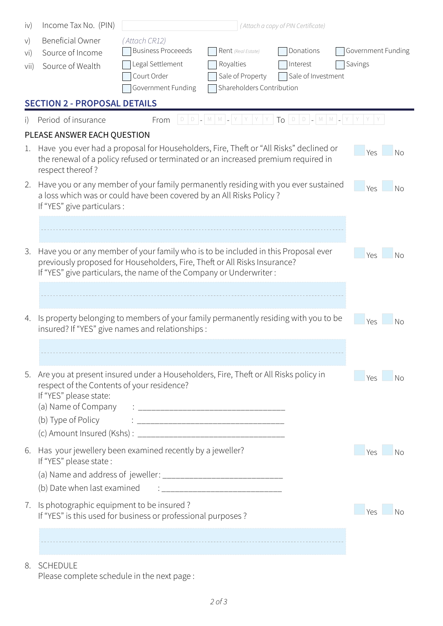| iv)                                                                                                                                           | Income Tax No. (PIN)                                                                                                                                                                                                                 | (Attach a copy of PIN Certificate)                                                                                                                                                      |                                            |                    |                       |
|-----------------------------------------------------------------------------------------------------------------------------------------------|--------------------------------------------------------------------------------------------------------------------------------------------------------------------------------------------------------------------------------------|-----------------------------------------------------------------------------------------------------------------------------------------------------------------------------------------|--------------------------------------------|--------------------|-----------------------|
| V)                                                                                                                                            | <b>Beneficial Owner</b>                                                                                                                                                                                                              | (Attach CR12)                                                                                                                                                                           |                                            |                    |                       |
| vi)                                                                                                                                           | Source of Income                                                                                                                                                                                                                     | <b>Business Proceeeds</b>                                                                                                                                                               | Rent (Real Estate)                         | Donations          | Government Funding    |
| vii)                                                                                                                                          | Source of Wealth                                                                                                                                                                                                                     | Legal Settlement                                                                                                                                                                        | Royalties                                  | Interest           | Savings               |
|                                                                                                                                               |                                                                                                                                                                                                                                      | Court Order                                                                                                                                                                             | Sale of Property                           | Sale of Investment |                       |
|                                                                                                                                               |                                                                                                                                                                                                                                      | Government Funding                                                                                                                                                                      | Shareholders Contribution                  |                    |                       |
|                                                                                                                                               | <b>SECTION 2 - PROPOSAL DETAILS</b>                                                                                                                                                                                                  |                                                                                                                                                                                         |                                            |                    |                       |
| i)                                                                                                                                            | Period of insurance                                                                                                                                                                                                                  | From                                                                                                                                                                                    | D D _ M M _ Y Y Y Y TO D D _ M M _ Y Y Y Y |                    |                       |
|                                                                                                                                               | PLEASE ANSWER EACH QUESTION                                                                                                                                                                                                          |                                                                                                                                                                                         |                                            |                    |                       |
| 1.                                                                                                                                            | respect thereof?                                                                                                                                                                                                                     | Have you ever had a proposal for Householders, Fire, Theft or "All Risks" declined or<br>Yes<br>No<br>the renewal of a policy refused or terminated or an increased premium required in |                                            |                    |                       |
| 2.                                                                                                                                            | If "YES" give particulars :                                                                                                                                                                                                          | Have you or any member of your family permanently residing with you ever sustained<br>Yes<br>No<br>a loss which was or could have been covered by an All Risks Policy?                  |                                            |                    |                       |
|                                                                                                                                               |                                                                                                                                                                                                                                      |                                                                                                                                                                                         |                                            |                    |                       |
| 3.                                                                                                                                            | Have you or any member of your family who is to be included in this Proposal ever<br>previously proposed for Householders, Fire, Theft or All Risks Insurance?<br>If "YES" give particulars, the name of the Company or Underwriter: |                                                                                                                                                                                         |                                            |                    | Yes<br>No             |
|                                                                                                                                               |                                                                                                                                                                                                                                      |                                                                                                                                                                                         |                                            |                    |                       |
| Is property belonging to members of your family permanently residing with you to be<br>4.<br>insured? If "YES" give names and relationships : |                                                                                                                                                                                                                                      |                                                                                                                                                                                         |                                            | <b>Yes</b><br>Nο   |                       |
|                                                                                                                                               |                                                                                                                                                                                                                                      |                                                                                                                                                                                         |                                            |                    |                       |
| 5.                                                                                                                                            | Are you at present insured under a Householders, Fire, Theft or All Risks policy in<br>respect of the Contents of your residence?<br>If "YES" please state:<br>(b) Type of Policy                                                    |                                                                                                                                                                                         |                                            |                    | Yes<br>N <sub>0</sub> |
| 6.                                                                                                                                            | Has your jewellery been examined recently by a jeweller?<br>If "YES" please state:                                                                                                                                                   |                                                                                                                                                                                         |                                            |                    | Yes<br>– No           |
|                                                                                                                                               |                                                                                                                                                                                                                                      |                                                                                                                                                                                         |                                            |                    |                       |
|                                                                                                                                               |                                                                                                                                                                                                                                      |                                                                                                                                                                                         |                                            |                    |                       |
| 7.                                                                                                                                            | Is photographic equipment to be insured?<br>If "YES" is this used for business or professional purposes?                                                                                                                             |                                                                                                                                                                                         |                                            |                    | <b>Yes</b><br>∣No     |
|                                                                                                                                               |                                                                                                                                                                                                                                      |                                                                                                                                                                                         |                                            |                    |                       |
|                                                                                                                                               |                                                                                                                                                                                                                                      |                                                                                                                                                                                         |                                            |                    |                       |

## 8. SCHEDULE

Please complete schedule in the next page :